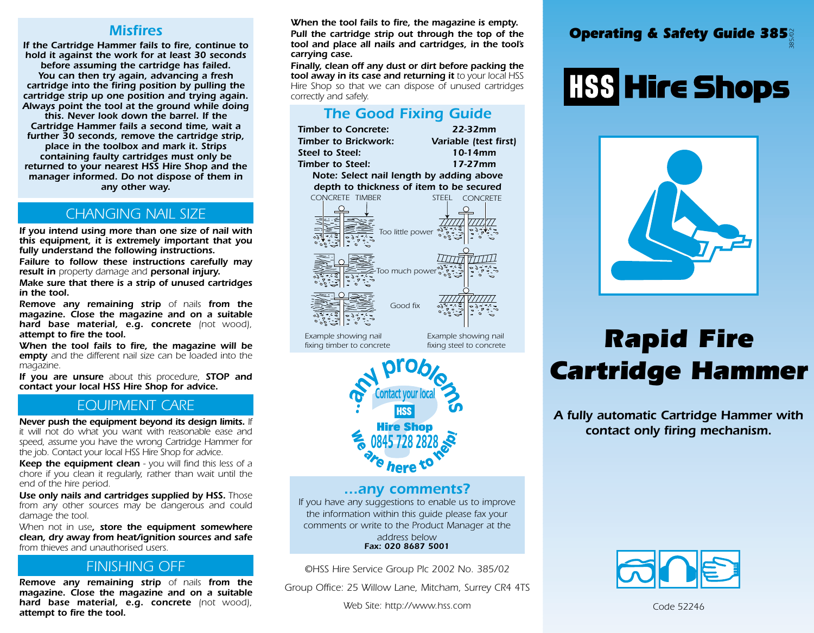### *Misfires*

*If the Cartridge Hammer fails to fire, continue to hold it against the work for at least 30 seconds before assuming the cartridge has failed. You can then try again, advancing a fresh cartridge into the firing position by pulling the cartridge strip up one position and trying again. Always point the tool at the ground while doing this. Never look down the barrel. If the Cartridge Hammer fails a second time, wait a further 30 seconds, remove the cartridge strip, place in the toolbox and mark it. Strips containing faulty cartridges must only be returned to your nearest HSS Hire Shop and the manager informed. Do not dispose of them in any other way.*

### *CHANGING NAIL SIZE*

*If you intend using more than one size of nail with this equipment, it is extremely important that you fully understand the following instructions.*

*Failure to follow these instructions carefully may result in property damage and personal injury.*

*Make sure that there is a strip of unused cartridges in the tool.*

*Remove any remaining strip of nails from the magazine. Close the magazine and on a suitable hard base material, e.g. concrete (not wood), attempt to fire the tool.* 

*When the tool fails to fire, the magazine will be empty and the different nail size can be loaded into the magazine.*

*If you are unsure about this procedure, STOP and contact your local HSS Hire Shop for advice.*

#### *FINISHING OFF EQUIPMENT CARE*

*Never push the equipment beyond its design limits. If it will not do what you want with reasonable ease and speed, assume you have the wrong Cartridge Hammer for the job. Contact your local HSS Hire Shop for advice.*

*Keep the equipment clean - you will find this less of a chore if you clean it regularly, rather than wait until the end of the hire period.* 

*Use only nails and cartridges supplied by HSS. Those from any other sources may be dangerous and could damage the tool.*

*When not in use, store the equipment somewhere clean, dry away from heat/ignition sources and safe from thieves and unauthorised users.* 

### *FINISHING OFF*

*Remove any remaining strip of nails from the magazine. Close the magazine and on a suitable hard base material, e.g. concrete (not wood), attempt to fire the tool.* 

*When the tool fails to fire, the magazine is empty.*

*Pull the cartridge strip out through the top of the tool and place all nails and cartridges, in the tool's carrying case.*

*Finally, clean off any dust or dirt before packing the tool away in its case and returning it to your local HSS Hire Shop so that we can dispose of unused cartridges correctly and safely.*

### *The Good Fixing Guide*

*CONCRETE TIMBER CONCRETE Too little power Too much power Good fix* STEEL CONCRETE *Example showing nail fixing timber to concrete Example showing nail fixing steel to concrete Timber to Concrete: 22-32mm Timber to Brickwork: Variable (test first) Steel to Steel: 10-14mm Timber to Steel: 17-27mm Note: Select nail length by adding above depth to thickness of item to be secured*



### *...any comments?*

*If you have any suggestions to enable us to improve the information within this guide please fax your comments or write to the Product Manager at the address below Fax: 020 8687 5001*

*©HSS Hire Service Group Plc 2002 No. 385/02*

*Group Office: 25 Willow Lane, Mitcham, Surrey CR4 4TS*

*Web Site: http://www.hss.com*

### $\,$  Operating & Safety Guide 385 $^{\circ}_{\! \! \frac{\otimes}{\otimes}\,}$

# **HSS Hire Shops**



## *Rapid Fire Cartridge Hammer*

*A fully automatic Cartridge Hammer with contact only firing mechanism.*